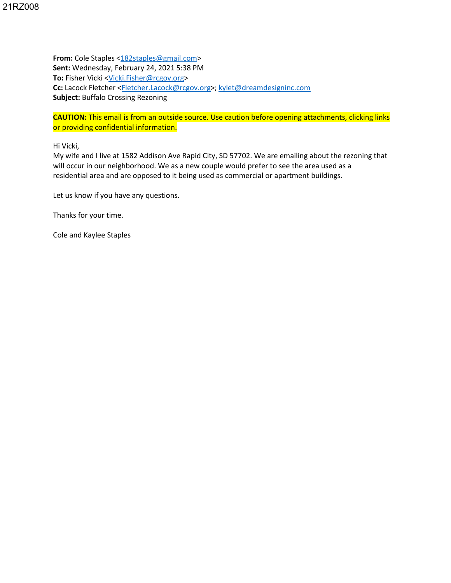**From:** Cole Staples [<182staples@gmail.com>](mailto:182staples@gmail.com) **Sent:** Wednesday, February 24, 2021 5:38 PM To: Fisher Vicki [<Vicki.Fisher@rcgov.org>](mailto:Vicki.Fisher@rcgov.org) **Cc:** Lacock Fletcher [<Fletcher.Lacock@rcgov.org>](mailto:Fletcher.Lacock@rcgov.org); [kylet@dreamdesigninc.com](mailto:kylet@dreamdesigninc.com) **Subject:** Buffalo Crossing Rezoning

**CAUTION:** This email is from an outside source. Use caution before opening attachments, clicking links or providing confidential information.

Hi Vicki,

My wife and I live at 1582 Addison Ave Rapid City, SD 57702. We are emailing about the rezoning that will occur in our neighborhood. We as a new couple would prefer to see the area used as a residential area and are opposed to it being used as commercial or apartment buildings.

Let us know if you have any questions.

Thanks for your time.

Cole and Kaylee Staples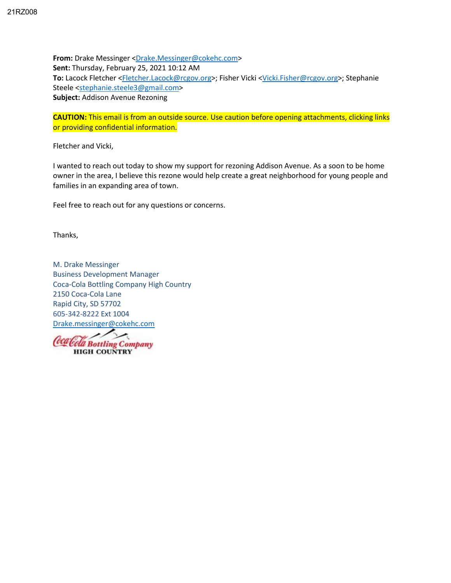**From:** Drake Messinger [<Drake.Messinger@cokehc.com>](mailto:Drake.Messinger@cokehc.com) **Sent:** Thursday, February 25, 2021 10:12 AM **To:** Lacock Fletcher [<Fletcher.Lacock@rcgov.org>](mailto:Fletcher.Lacock@rcgov.org); Fisher Vicki [<Vicki.Fisher@rcgov.org>](mailto:Vicki.Fisher@rcgov.org); Stephanie Steele [<stephanie.steele3@gmail.com>](mailto:stephanie.steele3@gmail.com) **Subject:** Addison Avenue Rezoning

**CAUTION:** This email is from an outside source. Use caution before opening attachments, clicking links or providing confidential information.

Fletcher and Vicki,

I wanted to reach out today to show my support for rezoning Addison Avenue. As a soon to be home owner in the area, I believe this rezone would help create a great neighborhood for young people and families in an expanding area of town.

Feel free to reach out for any questions or concerns.

Thanks,

M. Drake Messinger Business Development Manager Coca-Cola Bottling Company High Country 2150 Coca-Cola Lane Rapid City, SD 57702 605-342-8222 Ext 1004 [Drake.messinger@cokehc.com](mailto:Drake.messinger@cokehc.com)

رر Coca Cola Bottling Company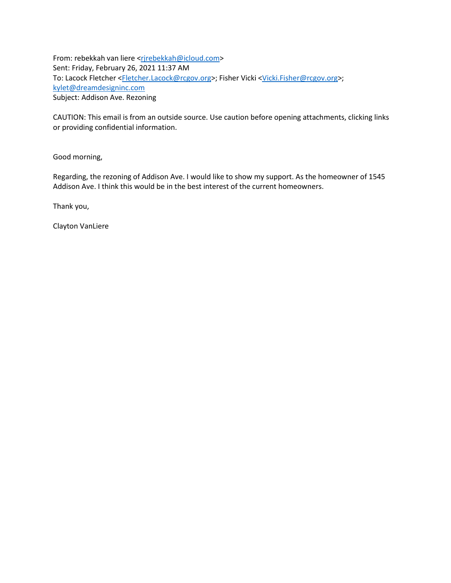From: rebekkah van liere <rirebekkah@icloud.com> Sent: Friday, February 26, 2021 11:37 AM To: Lacock Fletcher [<Fletcher.Lacock@rcgov.org>](mailto:Fletcher.Lacock@rcgov.org); Fisher Vicki [<Vicki.Fisher@rcgov.org>](mailto:Vicki.Fisher@rcgov.org); [kylet@dreamdesigninc.com](mailto:kylet@dreamdesigninc.com) Subject: Addison Ave. Rezoning

CAUTION: This email is from an outside source. Use caution before opening attachments, clicking links or providing confidential information.

Good morning,

Regarding, the rezoning of Addison Ave. I would like to show my support. As the homeowner of 1545 Addison Ave. I think this would be in the best interest of the current homeowners.

Thank you,

Clayton VanLiere